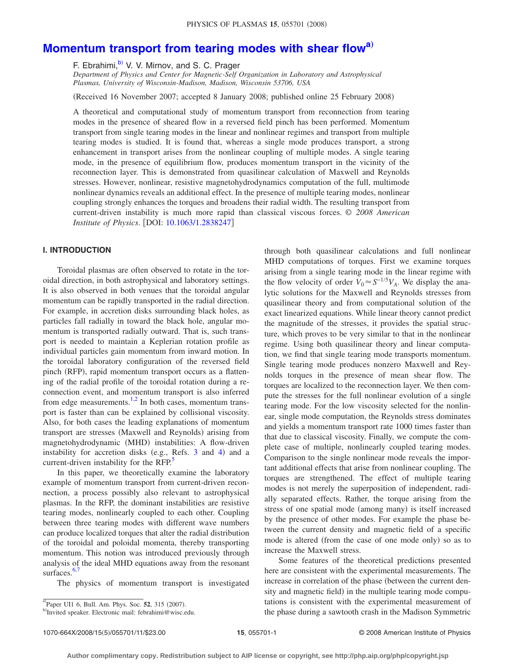# <span id="page-0-0"></span>**[Momentum transport from tearing modes with shear flow](http://dx.doi.org/10.1063/1.2838247)[a](#page-0-0)**…

F. Ebrahimi,<sup>b)</sup> V. V. Mirnov, and S. C. Prager

*Department of Physics and Center for Magnetic-Self Organization in Laboratory and Astrophysical Plasmas, University of Wisconsin-Madison, Madison, Wisconsin 53706, USA*

(Received 16 November 2007; accepted 8 January 2008; published online 25 February 2008)

A theoretical and computational study of momentum transport from reconnection from tearing modes in the presence of sheared flow in a reversed field pinch has been performed. Momentum transport from single tearing modes in the linear and nonlinear regimes and transport from multiple tearing modes is studied. It is found that, whereas a single mode produces transport, a strong enhancement in transport arises from the nonlinear coupling of multiple modes. A single tearing mode, in the presence of equilibrium flow, produces momentum transport in the vicinity of the reconnection layer. This is demonstrated from quasilinear calculation of Maxwell and Reynolds stresses. However, nonlinear, resistive magnetohydrodynamics computation of the full, multimode nonlinear dynamics reveals an additional effect. In the presence of multiple tearing modes, nonlinear coupling strongly enhances the torques and broadens their radial width. The resulting transport from current-driven instability is much more rapid than classical viscous forces. © *2008 American Institute of Physics.* [DOI: [10.1063/1.2838247](http://dx.doi.org/10.1063/1.2838247)]

# **I. INTRODUCTION**

Toroidal plasmas are often observed to rotate in the toroidal direction, in both astrophysical and laboratory settings. It is also observed in both venues that the toroidal angular momentum can be rapidly transported in the radial direction. For example, in accretion disks surrounding black holes, as particles fall radially in toward the black hole, angular momentum is transported radially outward. That is, such transport is needed to maintain a Keplerian rotation profile as individual particles gain momentum from inward motion. In the toroidal laboratory configuration of the reversed field pinch (RFP), rapid momentum transport occurs as a flattening of the radial profile of the toroidal rotation during a reconnection event, and momentum transport is also inferred from edge measurements.<sup>1[,2](#page-9-1)</sup> In both cases, momentum transport is faster than can be explained by collisional viscosity. Also, for both cases the leading explanations of momentum transport are stresses (Maxwell and Reynolds) arising from magnetohydrodynamic (MHD) instabilities: A flow-driven instability for accretion disks (e.g., Refs. [3](#page-9-2) and [4](#page-9-3)) and a current-driven instability for the RFP.<sup>5</sup>

In this paper, we theoretically examine the laboratory example of momentum transport from current-driven reconnection, a process possibly also relevant to astrophysical plasmas. In the RFP, the dominant instabilities are resistive tearing modes, nonlinearly coupled to each other. Coupling between three tearing modes with different wave numbers can produce localized torques that alter the radial distribution of the toroidal and poloidal momenta, thereby transporting momentum. This notion was introduced previously through analysis of the ideal MHD equations away from the resonant surfaces. $6,7$  $6,7$ 

The physics of momentum transport is investigated

through both quasilinear calculations and full nonlinear MHD computations of torques. First we examine torques arising from a single tearing mode in the linear regime with the flow velocity of order  $V_0 \approx S^{-1/5} V_A$ . We display the analytic solutions for the Maxwell and Reynolds stresses from quasilinear theory and from computational solution of the exact linearized equations. While linear theory cannot predict the magnitude of the stresses, it provides the spatial structure, which proves to be very similar to that in the nonlinear regime. Using both quasilinear theory and linear computation, we find that single tearing mode transports momentum. Single tearing mode produces nonzero Maxwell and Reynolds torques in the presence of mean shear flow. The torques are localized to the reconnection layer. We then compute the stresses for the full nonlinear evolution of a single tearing mode. For the low viscosity selected for the nonlinear, single mode computation, the Reynolds stress dominates and yields a momentum transport rate 1000 times faster than that due to classical viscosity. Finally, we compute the complete case of multiple, nonlinearly coupled tearing modes. Comparison to the single nonlinear mode reveals the important additional effects that arise from nonlinear coupling. The torques are strengthened. The effect of multiple tearing modes is not merely the superposition of independent, radially separated effects. Rather, the torque arising from the stress of one spatial mode (among many) is itself increased by the presence of other modes. For example the phase between the current density and magnetic field of a specific mode is altered (from the case of one mode only) so as to increase the Maxwell stress.

Some features of the theoretical predictions presented here are consistent with the experimental measurements. The increase in correlation of the phase (between the current density and magnetic field) in the multiple tearing mode computations is consistent with the experimental measurement of the phase during a sawtooth crash in the Madison Symmetric

a)<br>
paper UI1 6, Bull. Am. Phys. Soc. **52**, 315 (2007).

<span id="page-0-1"></span>Invited speaker. Electronic mail: febrahimi@wisc.edu.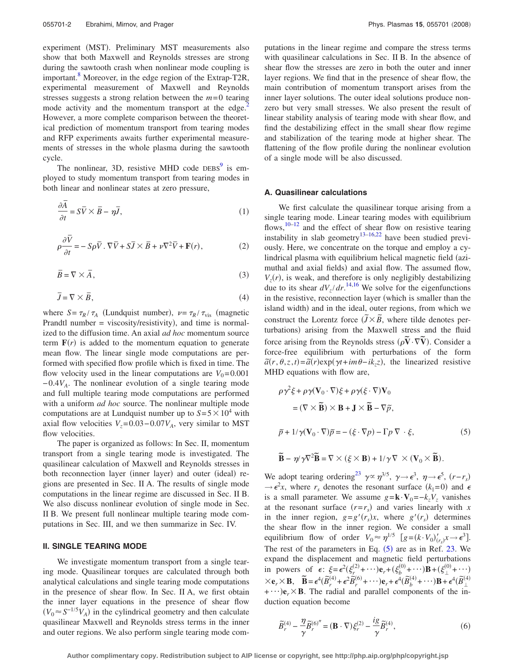experiment (MST). Preliminary MST measurements also show that both Maxwell and Reynolds stresses are strong during the sawtooth crash when nonlinear mode coupling is important. $\delta$  Moreover, in the edge region of the Extrap-T2R, experimental measurement of Maxwell and Reynolds stresses suggests a strong relation between the  $m=0$  tearing mode activity and the momentum transport at the edge.<sup>2</sup> However, a more complete comparison between the theoretical prediction of momentum transport from tearing modes and RFP experiments awaits further experimental measurements of stresses in the whole plasma during the sawtooth cycle.

The nonlinear, 3D, resistive MHD code  $DEBS<sup>9</sup>$  $DEBS<sup>9</sup>$  $DEBS<sup>9</sup>$  is employed to study momentum transport from tearing modes in both linear and nonlinear states at zero pressure,

$$
\frac{\partial \overline{A}}{\partial t} = S\overline{V} \times \overline{B} - \eta \overline{J},\tag{1}
$$

$$
\rho \frac{\partial \bar{V}}{\partial t} = -S\rho \bar{V} \cdot \nabla \bar{V} + S\bar{J} \times \bar{B} + \nu \nabla^2 \bar{V} + \mathbf{F}(r),
$$
 (2)

$$
\overline{B} = \nabla \times \overline{A},\tag{3}
$$

$$
\bar{J} = \nabla \times \bar{B},\tag{4}
$$

where  $S = \tau_R / \tau_A$  (Lundquist number),  $\nu = \tau_R / \tau_{vis}$  (magnetic Prandtl number = viscosity/resistivity), and time is normalized to the diffusion time. An axial *ad hoc* momentum source term  $F(r)$  is added to the momentum equation to generate mean flow. The linear single mode computations are performed with specified flow profile which is fixed in time. The flow velocity used in the linear computations are  $V_0$ = 0.001  $-0.4V<sub>A</sub>$ . The nonlinear evolution of a single tearing mode and full multiple tearing mode computations are performed with a uniform *ad hoc* source. The nonlinear multiple mode computations are at Lundquist number up to  $S = 5 \times 10^4$  with axial flow velocities  $V_z = 0.03 - 0.07V_A$ , very similar to MST flow velocities.

The paper is organized as follows: In Sec. II, momentum transport from a single tearing mode is investigated. The quasilinear calculation of Maxwell and Reynolds stresses in both reconnection layer (inner layer) and outer (ideal) regions are presented in Sec. II A. The results of single mode computations in the linear regime are discussed in Sec. II B. We also discuss nonlinear evolution of single mode in Sec. II B. We present full nonlinear multiple tearing mode computations in Sec. III, and we then summarize in Sec. IV.

## **II. SINGLE TEARING MODE**

We investigate momentum transport from a single tearing mode. Quasilinear torques are calculated through both analytical calculations and single tearing mode computations in the presence of shear flow. In Sec. II A, we first obtain the inner layer equations in the presence of shear flow  $(V_0 \approx S^{-1/5} V_A)$  in the cylindrical geometry and then calculate quasilinear Maxwell and Reynolds stress terms in the inner and outer regions. We also perform single tearing mode computations in the linear regime and compare the stress terms with quasilinear calculations in Sec. II B. In the absence of shear flow the stresses are zero in both the outer and inner layer regions. We find that in the presence of shear flow, the main contribution of momentum transport arises from the inner layer solutions. The outer ideal solutions produce nonzero but very small stresses. We also present the result of linear stability analysis of tearing mode with shear flow, and find the destabilizing effect in the small shear flow regime and stabilization of the tearing mode at higher shear. The flattening of the flow profile during the nonlinear evolution of a single mode will be also discussed.

#### **A. Quasilinear calculations**

We first calculate the quasilinear torque arising from a single tearing mode. Linear tearing modes with equilibrium flows,  $10-12$  $10-12$  and the effect of shear flow on resistive tearing instability in slab geometry<sup>13–[16](#page-10-0)[,22](#page-10-1)</sup> have been studied previously. Here, we concentrate on the torque and employ a cylindrical plasma with equilibrium helical magnetic field (azimuthal and axial fields) and axial flow. The assumed flow,  $V_z(r)$ , is weak, and therefore is only negligibly destabilizing due to its shear  $dV_z/dr$ .<sup>[14](#page-9-12)[,16](#page-10-0)</sup> We solve for the eigenfunctions in the resistive, reconnection layer (which is smaller than the island width) and in the ideal, outer regions, from which we construct the Lorentz force  $(\tilde{J} \times \tilde{B})$ , where tilde denotes perturbations) arising from the Maxwell stress and the fluid force arising from the Reynolds stress  $(\rho \tilde{V} \cdot \nabla \tilde{V})$ . Consider a force-free equilibrium with perturbations of the form  $\tilde{a}(r, \theta, z, t) = \tilde{a}(r) \exp(\gamma t + im\theta - ik_z z)$ , the linearized resistive MHD equations with flow are,

<span id="page-1-0"></span>
$$
\rho \gamma^2 \xi + \rho \gamma (\mathbf{V}_0 \cdot \nabla) \xi + \rho \gamma (\xi \cdot \nabla) \mathbf{V}_0
$$
  
\n
$$
= (\nabla \times \widetilde{\mathbf{B}}) \times \mathbf{B} + \mathbf{J} \times \widetilde{\mathbf{B}} - \nabla \widetilde{p},
$$
  
\n
$$
\widetilde{p} + 1/\gamma (\mathbf{V}_0 \cdot \nabla) \widetilde{p} = -(\xi \cdot \nabla p) - \Gamma p \nabla \cdot \xi,
$$
  
\n
$$
\widetilde{\mathbf{B}} - \eta / \gamma \nabla^2 \widetilde{\mathbf{B}} = \nabla \times (\xi \times \mathbf{B}) + 1/\gamma \nabla \times (\mathbf{V}_0 \times \widetilde{\mathbf{B}}).
$$
 (5)

We adopt tearing ordering<sup>23</sup>  $\gamma \propto \eta^{3/5}$ ,  $\gamma \rightarrow \epsilon^3$ ,  $\eta \rightarrow \epsilon^5$ ,  $(r-r_s)$  $\rightarrow \epsilon^2 x$ , where  $r_s$  denotes the resonant surface  $(k_{\parallel} = 0)$  and  $\epsilon$ is a small parameter. We assume  $g = \mathbf{k} \cdot \mathbf{V}_0 = -k_z V_z$  vanishes at the resonant surface  $(r=r_s)$  and varies linearly with *x* in the inner region,  $g = g'(r_s)x$ , where  $g'(r_s)$  determines the shear flow in the inner region. We consider a small equilibrium flow of order  $V_0 \approx \eta^{1/5}$   $[g = (k \cdot V_0)_{(r_s)}^t x \rightarrow \epsilon^3]$ . The rest of the parameters in Eq.  $(5)$  $(5)$  $(5)$  are as in Ref. [23.](#page-10-2) We expand the displacement and magnetic field perturbations in powers of  $\epsilon$ :  $\xi = \epsilon^2 (\xi_r^{(2)} + \cdots) \mathbf{e}_r + (\xi_b^{(0)} + \cdots) \mathbf{B} + (\xi_\perp^{(0)} + \cdots)$  $\times$ **e**<sub>*r*</sub> $\times$ **B**, **B**= $\epsilon^4(\tilde{B}_r^0)$  $\epsilon^{(4)}$  +  $\epsilon^2 \tilde{B}_r^{(4)}$  $\mathbf{e}_r^{(6)} + \cdots$ ) $\mathbf{e}_r + \boldsymbol{\epsilon}^4 (\widetilde{B}_b^{(4)})$  $\mathbf{B} + \epsilon^4 (\tilde{B}^{(4)}_{\perp})$  $+\cdots$ ) $e_r \times B$ . The radial and parallel components of the induction equation become

<span id="page-1-1"></span>
$$
\widetilde{B}_r^{(4)} - \frac{\eta}{\gamma} \widetilde{B}_r^{(6)''} = (\mathbf{B} \cdot \nabla) \xi_r^{(2)} - \frac{ig}{\gamma} \widetilde{B}_r^{(4)},\tag{6}
$$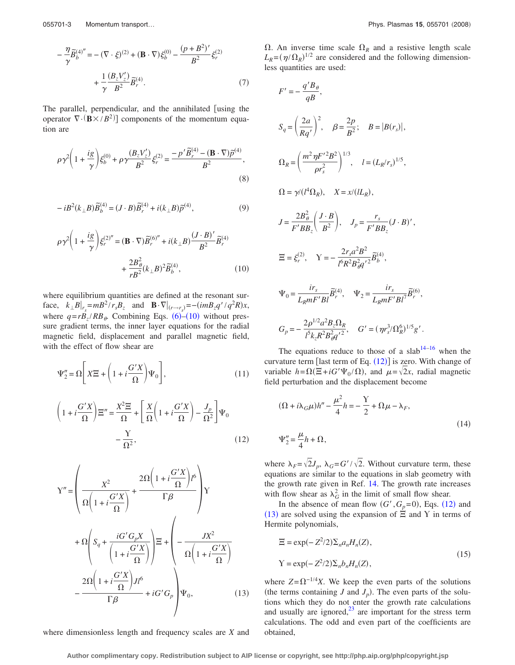<span id="page-2-3"></span>
$$
-\frac{\eta}{\gamma} \widetilde{B}_{b}^{(4)''} = -(\nabla \cdot \xi)^{(2)} + (\mathbf{B} \cdot \nabla) \xi_{b}^{(0)} - \frac{(p + B^{2})'}{B^{2}} \xi_{r}^{(2)} + \frac{1}{\gamma} \frac{(B_{z} V_{z}')}{B^{2}} \widetilde{B}_{r}^{(4)}.
$$
\n(7)

The parallel, perpendicular, and the annihilated [using the operator  $\nabla \cdot (\mathbf{B} \times / B^2)$  components of the momentum equation are

$$
\rho \gamma^2 \left( 1 + \frac{ig}{\gamma} \right) \xi_b^{(0)} + \rho \gamma \frac{(B_z V_z')}{B^2} \xi_r^{(2)} = \frac{-p' \widetilde{B}_r^{(4)} - (\mathbf{B} \cdot \nabla) \widetilde{p}^{(4)}}{B^2},\tag{8}
$$

$$
-iB^{2}(k_{\perp}B)\widetilde{B}_{b}^{(4)} = (J \cdot B)\widetilde{B}_{r}^{(4)} + i(k_{\perp}B)\widetilde{p}^{(4)},
$$
\n(9)

<span id="page-2-0"></span>
$$
\rho \gamma^2 \left( 1 + \frac{ig}{\gamma} \right) \xi_r^{(2)''} = (\mathbf{B} \cdot \nabla) \widetilde{B}_r^{(6)''} + i(k_\perp B) \frac{(J \cdot B)'}{B^2} \widetilde{B}_r^{(4)} + \frac{2B_\theta^2}{rB^2} (k_\perp B)^2 \widetilde{B}_b^{(4)},
$$
\n(10)

where equilibrium quantities are defined at the resonant surface,  $k_{\perp}B|_{r_s} = mB^2/r_sB_z$  and  $\mathbf{B} \cdot \nabla|_{(r \to r_s)} = -(imB_zq'/q^2R)x$ , where  $q = rB_z / RB_\theta$ . Combining Eqs. ([6](#page-1-1))–([10](#page-2-0)) without pressure gradient terms, the inner layer equations for the radial magnetic field, displacement and parallel magnetic field, with the effect of flow shear are

$$
\Psi_2'' = \Omega \left[ X \Xi + \left( 1 + i \frac{G'X}{\Omega} \right) \Psi_0 \right],\tag{11}
$$

<span id="page-2-1"></span>
$$
\left(1 + i\frac{G'X}{\Omega}\right)\Xi'' = \frac{X^2\Xi}{\Omega} + \left[\frac{X}{\Omega}\left(1 + i\frac{G'X}{\Omega}\right) - \frac{J_p}{\Omega^2}\right]\Psi_0
$$

$$
-\frac{Y}{\Omega^2},
$$
(12)

<span id="page-2-2"></span>
$$
Y'' = \left(\frac{X^2}{\Omega\left(1 + i\frac{G'X}{\Omega}\right)} + \frac{2\Omega\left(1 + i\frac{G'X}{\Omega}\right)t^6}{\Gamma\beta}\right)Y
$$

$$
+ \Omega\left(S_q + \frac{iG'G_pX}{\left(1 + i\frac{G'X}{\Omega}\right)}\right) \Xi + \left(-\frac{JX^2}{\Omega\left(1 + i\frac{G'X}{\Omega}\right)}\right)
$$

$$
-\frac{2\Omega\left(1 + i\frac{G'X}{\Omega}\right)J^6}{\Gamma\beta} + iG'G_p\right)\Psi_0, \tag{13}
$$

where dimensionless length and frequency scales are *X* and

 $\Omega$ . An inverse time scale  $\Omega_R$  and a resistive length scale  $L_R = (\eta/\Omega_R)^{1/2}$  are considered and the following dimensionless quantities are used:

$$
F' = -\frac{q'B_{\theta}}{qB},
$$
\n
$$
S_{q} = \left(\frac{2a}{Rq'}\right)^{2}, \quad \beta = \frac{2p}{B^{2}}; \quad B = |B(r_{s})|,
$$
\n
$$
\Omega_{R} = \left(\frac{m^{2}\eta F'^{2}B^{2}}{\rho r_{s}^{2}}\right)^{1/3}, \quad l = (L_{R}/r_{s})^{1/5},
$$
\n
$$
\Omega = \gamma/(l^{4}\Omega_{R}), \quad X = x/(lL_{R}),
$$
\n
$$
J = \frac{2B_{\theta}^{2}}{F'BB_{z}}\left(\frac{J \cdot B}{B^{2}}\right), \quad J_{p} = \frac{r_{s}}{F'BB_{z}}(J \cdot B)',
$$
\n
$$
\Xi = \xi_{r}^{(2)}, \quad Y = -\frac{2r_{s}a^{2}B^{2}}{l^{6}R^{2}B_{\theta}^{2}q'}\tilde{B}_{b}^{(4)},
$$
\n
$$
\Psi_{0} = \frac{ir_{s}}{L_{R}mF'Bl}\tilde{B}_{r}^{(4)}, \quad \Psi_{2} = \frac{ir_{s}}{L_{R}mF'Bl}\tilde{B}_{r}^{(6)},
$$
\n
$$
G_{p} = -\frac{2\rho^{1/2}a^{2}B_{z}\Omega_{R}}{l^{5}R^{2}B_{\theta}^{2}q'}\tilde{B}_{r}^{(2)}, \quad G' = (\eta r_{s}^{3}/\Omega_{R}^{6})^{1/5}g'.
$$

The equations reduce to those of a slab<sup>14–[16](#page-10-0)</sup> when the curvature term [last term of Eq.  $(12)$  $(12)$  $(12)$ ] is zero. With change of variable  $h = \Omega(\Xi + iG'\Psi_0/\Omega)$ , and  $\mu = \sqrt{2x}$ , radial magnetic field perturbation and the displacement become

$$
(\Omega + i\lambda_G\mu)h'' - \frac{\mu^2}{4}h = -\frac{\Upsilon}{2} + \Omega\mu - \lambda_F,
$$
  

$$
\Psi_2'' = \frac{\mu}{4}h + \Omega,
$$
 (14)

where  $\lambda_F = \sqrt{2}J_p$ ,  $\lambda_G = G'/\sqrt{2}$ . Without curvature term, these equations are similar to the equations in slab geometry with the growth rate given in Ref. [14.](#page-9-12) The growth rate increases with flow shear as  $\lambda_G^2$  in the limit of small flow shear.

In the absence of mean flow  $(G', G_p=0)$ , Eqs. ([12](#page-2-1)) and ([13](#page-2-2)) are solved using the expansion of  $\Xi$  and Y in terms of Hermite polynomials,

$$
\Xi = \exp(-Z^2/2)\Sigma_n a_n H_n(Z),
$$
  
\n
$$
\Upsilon = \exp(-Z^2/2)\Sigma_n b_n H_n(Z),
$$
\n(15)

where  $Z = \Omega^{-1/4} X$ . We keep the even parts of the solutions (the terms containing *J* and  $J_p$ ). The even parts of the solutions which they do not enter the growth rate calculations and usually are ignored, $^{23}$  are important for the stress term calculations. The odd and even part of the coefficients are obtained,

**Author complimentary copy. Redistribution subject to AIP license or copyright, see http://php.aip.org/php/copyright.jsp**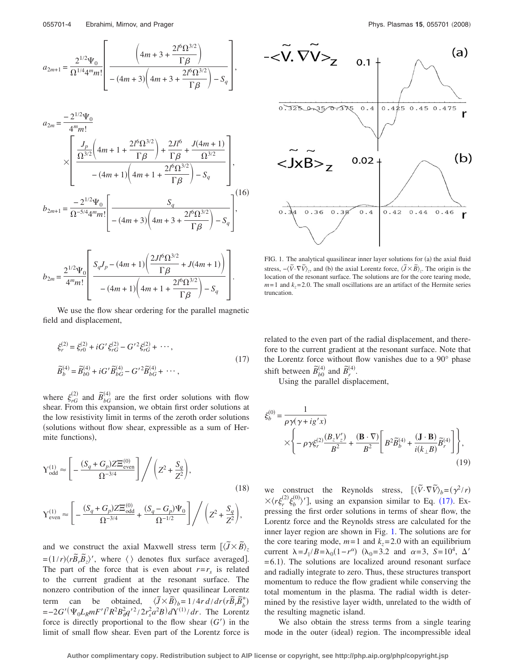$$
a_{2m+1} = \frac{2^{1/2}\Psi_0}{\Omega^{1/4}4^m m!} \left[ \frac{\left(4m+3+\frac{2l^6\Omega^{3/2}}{\Gamma\beta}\right)}{-(4m+3)\left(4m+3+\frac{2l^6\Omega^{3/2}}{\Gamma\beta}\right)-S_q} \right],
$$

$$
a_{2m} = \frac{-2^{1/2} \Psi_0}{4^m m!} \times \left[ \frac{\frac{J_p}{\Omega^{3/2}} \left( 4m + 1 + \frac{2I^6 \Omega^{3/2}}{\Gamma \beta} \right) + \frac{2JI^6}{\Gamma \beta} + \frac{J(4m + 1)}{\Omega^{3/2}}}{\Gamma \beta} \right], - (4m + 1) \left( 4m + 1 + \frac{2I^6 \Omega^{3/2}}{\Gamma \beta} \right) - S_q
$$
  
- 2<sup>1/2</sup>  $\Psi_0$   $\left[ S_q \right]$  (16)

$$
b_{2m+1} = \frac{-2^{1/2} \Psi_0}{\Omega^{-5/4} 4^m m!} \left[ \frac{S_q}{-(4m+3) \left(4m+3+\frac{2l^6 \Omega^{3/2}}{\Gamma \beta}\right) - S_q} \right],
$$

$$
b_{2m} = \frac{2^{1/2} \Psi_0}{4^m m!} \left[ \frac{S_q J_p - (4m+1) \left( \frac{2J l^6 \Omega^{3/2}}{\Gamma \beta} + J(4m+1) \right)}{-(4m+1) \left( 4m+1 + \frac{2l^6 \Omega^{3/2}}{\Gamma \beta} \right) - S_q} \right].
$$

We use the flow shear ordering for the parallel magnetic field and displacement,

<span id="page-3-0"></span>
$$
\xi_r^{(2)} = \xi_{r0}^{(2)} + iG' \xi_{rG}^{(2)} - G'^2 \xi_{rG}^{(2)} + \cdots,
$$
  
\n
$$
\widetilde{B}_b^{(4)} = \widetilde{B}_{b0}^{(4)} + iG'\widetilde{B}_{bG}^{(4)} - G'^2 \widetilde{B}_{bG}^{(4)} + \cdots,
$$
\n(17)

where  $\xi_{rG}^{(2)}$  and  $\widetilde{B}_{bG}^{(4)}$  $_{hG}^{(4)}$  are the first order solutions with flow shear. From this expansion, we obtain first order solutions at the low resistivity limit in terms of the zeroth order solutions solutions without flow shear, expressible as a sum of Hermite functions),

$$
Y_{odd}^{(1)} \approx \left[ -\frac{(S_q + G_p)Z\Xi_{even}^{(0)}}{\Omega^{-3/4}} \right] / \left( Z^2 + \frac{S_q}{Z^2} \right),
$$
  
\n
$$
Y_{even}^{(1)} \approx \left[ -\frac{(S_q + G_p)Z\Xi_{odd}^{(0)}}{\Omega^{-3/4}} + \frac{(S_q - G_p)\Psi_0}{\Omega^{-1/2}} \right] / \left( Z^2 + \frac{S_q}{Z^2} \right),
$$
\n(18)

and we construct the axial Maxwell stress term  $\left[\langle \tilde{J} \times \tilde{B} \rangle_z\right]$  $\vec{r} = (1/r)(r\tilde{B}, \tilde{B}_{z})'$ , where  $\langle \rangle$  denotes flux surface averaged. The part of the force that is even about  $r = r_s$  is related to the current gradient at the resonant surface. The nonzero contribution of the inner layer quasilinear Lorentz term can be obtained,  $\langle \tilde{J} \times \tilde{B} \rangle_b = 1/4r d/dr (r \tilde{B}_r \tilde{B}_b^*)$ <br>= -2G' ( $\Psi_0 L_R mF' l^7 R^2 B_\theta^2 q'^2 / 2r_s^2 a^2 B dY^{(1)}/dr$ . The Lorentz force is directly proportional to the flow shear  $(G')$  in the limit of small flow shear. Even part of the Lorentz force is

<span id="page-3-1"></span>

FIG. 1. The analytical quasilinear inner layer solutions for (a) the axial fluid stress,  $-\langle \tilde{V} \cdot \nabla \tilde{V} \rangle_z$ , and (b) the axial Lorentz force,  $\langle \tilde{J} \times \tilde{B} \rangle_z$ . The origin is the location of the resonant surface. The solutions are for the core tearing mode,  $m=1$  and  $k_z=2.0$ . The small oscillations are an artifact of the Hermite series truncation.

related to the even part of the radial displacement, and therefore to the current gradient at the resonant surface. Note that the Lorentz force without flow vanishes due to a 90° phase shift between  $\tilde{B}_{b0}^{(4)}$  $\begin{bmatrix} (4) \\ b0 \end{bmatrix}$  and  $\tilde{B}_r^{(4)}$  $\binom{4}{r}$ .

Using the parallel displacement,

$$
\xi_b^{(0)} = \frac{1}{\rho \gamma (\gamma + ig' x)}\n\times \left\{-\rho \gamma \xi_r^{(2)} \frac{(B_z V_z')}{B^2} + \frac{(\mathbf{B} \cdot \nabla)}{B^2} \left[B^2 \widetilde{B}_b^{(4)} + \frac{(\mathbf{J} \cdot \mathbf{B})}{i(k_\perp B)} \widetilde{B}_r^{(4)}\right]\right\},
$$
\n(19)

we construct the Reynolds stress,  $[\langle \tilde{V} \cdot \nabla \tilde{V} \rangle_b = (\gamma^2/r)$  $\times \langle r\xi_r^{(2)}\xi_b^{(0)}\rangle'$ ], using an expansion similar to Eq. ([17](#page-3-0)). Expressing the first order solutions in terms of shear flow, the Lorentz force and the Reynolds stress are calculated for the inner layer region are shown in Fig. [1.](#page-3-1) The solutions are for the core tearing mode,  $m=1$  and  $k<sub>z</sub>=2.0$  with an equilibrium current  $\lambda = J_{\parallel}/B = \lambda_0(1 - r^{\alpha})$  ( $\lambda_0 = 3.2$  and  $\alpha = 3$ ,  $S = 10^4$ ,  $\Delta'$ = 6.1). The solutions are localized around resonant surface and radially integrate to zero. Thus, these structures transport momentum to reduce the flow gradient while conserving the total momentum in the plasma. The radial width is determined by the resistive layer width, unrelated to the width of the resulting magnetic island.

We also obtain the stress terms from a single tearing mode in the outer (ideal) region. The incompressible ideal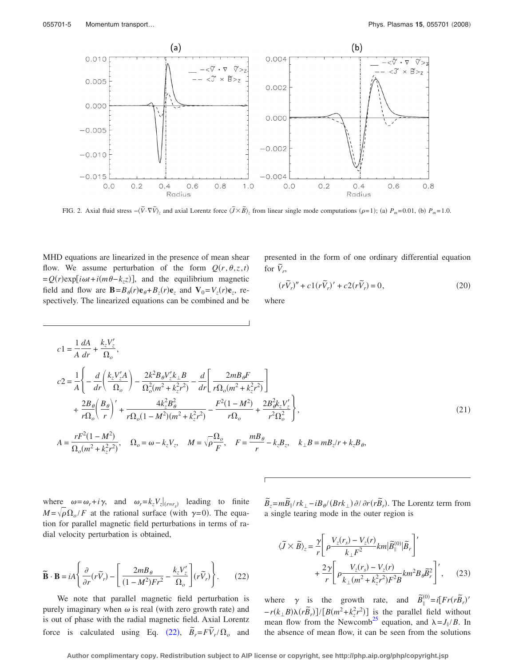<span id="page-4-1"></span>

FIG. 2. Axial fluid stress  $-\langle \tilde{V} \cdot \nabla \tilde{V} \rangle_z$  and axial Lorentz force  $\langle \tilde{J} \times \tilde{B} \rangle_z$  from linear single mode computations ( $\rho = 1$ ); (a)  $P_m = 0.01$ , (b)  $P_m = 1.0$ .

MHD equations are linearized in the presence of mean shear flow. We assume perturbation of the form  $Q(r, \theta, z, t)$  $= Q(r) \exp[i\omega t + i(m\theta - k_z z)]$ , and the equilibrium magnetic field and flow are  $\mathbf{B} = B_\theta(r)\mathbf{e}_{\theta} + B_z(r)\mathbf{e}_z$  and  $\mathbf{V}_0 = V_z(r)\mathbf{e}_z$ , respectively. The linearized equations can be combined and be presented in the form of one ordinary differential equation for  $\tilde{V}_r$ ,

$$
(r\widetilde{V}_r)'' + c1(r\widetilde{V}_r)' + c2(r\widetilde{V}_r) = 0,
$$
\n(20)

where

$$
c1 = \frac{1}{A} \frac{dA}{dr} + \frac{k_z V'_z}{\Omega_o},
$$
  
\n
$$
c2 = \frac{1}{A} \left\{ -\frac{d}{dr} \left( \frac{k_z V'_z A}{\Omega_o} \right) - \frac{2k^2 B_\theta V'_z k_\perp B}{\Omega_o^2 (m^2 + k_z^2 r^2)} - \frac{d}{dr} \left[ \frac{2m B_\theta F}{r \Omega_o (m^2 + k_z^2 r^2)} \right] + \frac{2B_\theta}{r \Omega_o} \left( \frac{B_\theta}{r} \right)' + \frac{4k_z^2 B_\theta^2}{r \Omega_o (1 - M^2)(m^2 + k_z^2 r^2)} - \frac{F^2 (1 - M^2)}{r \Omega_o} + \frac{2B_\theta^2 k_z V'_z}{r^2 \Omega_o^2} \right\},
$$
  
\n
$$
A = \frac{rF^2 (1 - M^2)}{\Omega_o (m^2 + k_z^2 r^2)}, \quad \Omega_o = \omega - k_z V_z, \quad M = \sqrt{\rho} \frac{\Omega_o}{F}, \quad F = \frac{m B_\theta}{r} - k_z B_z, \quad k_\perp B = m B_z / r + k_z B_\theta,
$$
\n(21)

where  $\omega = \omega_r + i\gamma$ , and  $\omega_r = k_z V_z|_{(r=r_s)}$  leading to finite  $M = \sqrt{\rho} \Omega_o/F$  at the rational surface (with  $\gamma = 0$ ). The equation for parallel magnetic field perturbations in terms of radial velocity perturbation is obtained,

<span id="page-4-0"></span>
$$
\widetilde{\mathbf{B}} \cdot \mathbf{B} = iA \left\{ \frac{\partial}{\partial r} (r \widetilde{V}_r) - \left[ \frac{2m B_\theta}{(1 - M^2) Fr^2} - \frac{k_z V_z'}{\Omega_o} \right] (r \widetilde{V}_r) \right\}.
$$
 (22)

We note that parallel magnetic field perturbation is purely imaginary when  $\omega$  is real (with zero growth rate) and is out of phase with the radial magnetic field. Axial Lorentz force is calculated using Eq. ([22](#page-4-0)),  $\tilde{B}_r = F\tilde{V}_r/\Omega_o$  and

 $\widetilde{B}_z = m\widetilde{B}_{\parallel}/rk_{\perp} - iB_{\theta}/(Brk_{\perp})\partial/\partial r(r\widetilde{B}_r)$ . The Lorentz term from a single tearing mode in the outer region is

$$
\langle \widetilde{J} \times \widetilde{B} \rangle_z = \frac{\gamma}{r} \left[ \rho \frac{V_z(r_s) - V_z(r)}{k_\perp F^2} k m |\widetilde{B}_\parallel^{(0)}| \widetilde{B}_r \right]'
$$
  
+ 
$$
\frac{2\gamma}{r} \left[ \rho \frac{V_z(r_s) - V_z(r)}{k_\perp (m^2 + k_z^2 r^2) F^2 B} k m^2 B_\theta \widetilde{B}_r^2 \right]'
$$
, (23)

where  $\gamma$  is the growth rate, and  $\tilde{B}_{\parallel}^{(0)} = i[Fr(r\tilde{B}_r)^r]$  $-r(k_{\perp}B)\lambda(r\overline{B}_r)]/[B(m^2+k_z^2r^2)]$  is the parallel field without mean flow from the Newcomb<sup>25</sup> equation, and  $\lambda = J_{\parallel}/B$ . In the absence of mean flow, it can be seen from the solutions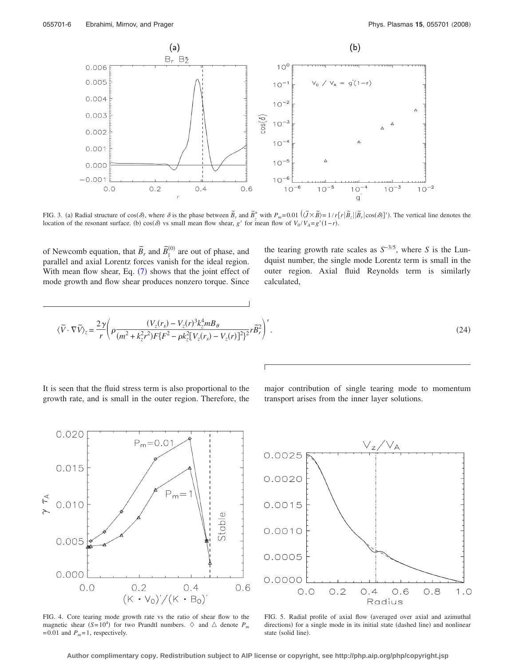<span id="page-5-0"></span>

FIG. 3. (a) Radial structure of  $cos(\delta)$ , where  $\delta$  is the phase between  $\tilde{B}_r$  and  $\tilde{B}_z^*$  with  $P_m = 0.01$   $(\langle \tilde{J} \times \tilde{B} \rangle = 1/r[r|\tilde{B}_z||\tilde{B}_r|cos(\delta)]'$ . The vertical line denotes the location of the resonant surface. (b)  $\cos(\delta)$  vs small mean flow shear, *g'* for mean flow of  $V_0/V_A = g'(1-r)$ .

of Newcomb equation, that  $\widetilde{B}_r$  and  $\widetilde{B}_{\parallel}^{(0)}$  are out of phase, and parallel and axial Lorentz forces vanish for the ideal region. With mean flow shear, Eq.  $(7)$  $(7)$  $(7)$  shows that the joint effect of mode growth and flow shear produces nonzero torque. Since

the tearing growth rate scales as *S*−3/<sup>5</sup> , where *S* is the Lundquist number, the single mode Lorentz term is small in the outer region. Axial fluid Reynolds term is similarly calculated,

$$
\langle \widetilde{V} \cdot \nabla \widetilde{V} \rangle_z = \frac{2\gamma}{r} \left( \rho \frac{(V_z(r_s) - V_z(r)^3 k_z^4 m B_\theta)}{(m^2 + k_z^2 r^2) F \{F^2 - \rho k_z^2 [V_z(r_s) - V_z(r)]^2\}^2} r \widetilde{B}_r^2 \right)'.
$$
\n(24)

It is seen that the fluid stress term is also proportional to the growth rate, and is small in the outer region. Therefore, the major contribution of single tearing mode to momentum transport arises from the inner layer solutions.

<span id="page-5-1"></span>

FIG. 4. Core tearing mode growth rate vs the ratio of shear flow to the magnetic shear (S=10<sup>4</sup>) for two Prandtl numbers.  $\Diamond$  and  $\triangle$  denote  $P_m$  $= 0.01$  and  $P_m = 1$ , respectively.

<span id="page-5-2"></span>

FIG. 5. Radial profile of axial flow (averaged over axial and azimuthal directions) for a single mode in its initial state (dashed line) and nonlinear state (solid line).

**Author complimentary copy. Redistribution subject to AIP license or copyright, see http://php.aip.org/php/copyright.jsp**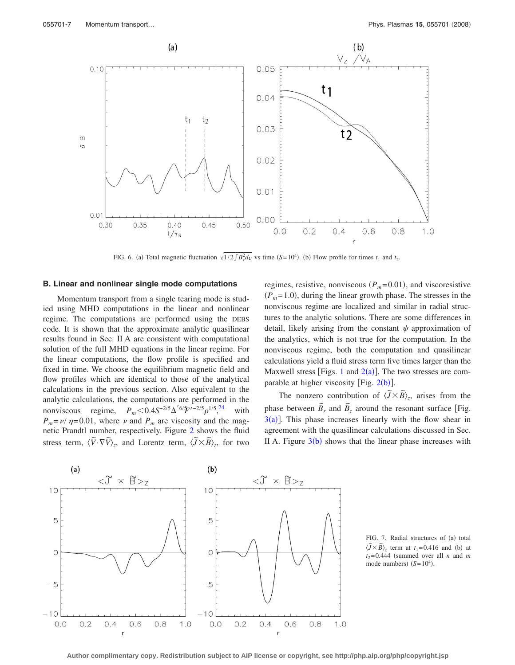<span id="page-6-0"></span>

FIG. 6. (a) Total magnetic fluctuation  $\sqrt{1/2 \int B_r^2 dv}$  vs time  $(S=10^4)$ . (b) Flow profile for times  $t_1$  and  $t_2$ .

#### **B. Linear and nonlinear single mode computations**

Momentum transport from a single tearing mode is studied using MHD computations in the linear and nonlinear regime. The computations are performed using the DEBS code. It is shown that the approximate analytic quasilinear results found in Sec. II A are consistent with computational solution of the full MHD equations in the linear regime. For the linear computations, the flow profile is specified and fixed in time. We choose the equilibrium magnetic field and flow profiles which are identical to those of the analytical calculations in the previous section. Also equivalent to the analytic calculations, the computations are performed in the nonviscous regime,  $P_m < 0.4S^{-2/5} \Delta^{6/5} F^{7/2/5} \rho^{1/5}$ , with  $P_m = \nu / \eta = 0.01$ , where  $\nu$  and  $P_m$  are viscosity and the magnetic Prandtl number, respectively. Figure [2](#page-4-1) shows the fluid stress term,  $\langle \tilde{V} \cdot \nabla \tilde{V} \rangle_z$ , and Lorentz term,  $\langle \tilde{J} \times \tilde{B} \rangle_z$ , for two

regimes, resistive, nonviscous  $(P_m=0.01)$ , and viscoresistive  $(P_m=1.0)$ , during the linear growth phase. The stresses in the nonviscous regime are localized and similar in radial structures to the analytic solutions. There are some differences in detail, likely arising from the constant  $\psi$  approximation of the analytics, which is not true for the computation. In the nonviscous regime, both the computation and quasilinear calculations yield a fluid stress term five times larger than the Maxwell stress [Figs. [1](#page-3-1) and  $2(a)$  $2(a)$ ]. The two stresses are comparable at higher viscosity [Fig.  $2(b)$  $2(b)$ ].

The nonzero contribution of  $\langle \tilde{J} \times \tilde{B} \rangle_z$ , arises from the phase between  $\tilde{B}_r$  and  $\tilde{B}_z$  around the resonant surface [Fig.  $3(a)$  $3(a)$ ]. This phase increases linearly with the flow shear in agreement with the quasilinear calculations discussed in Sec. II A. Figure  $3(b)$  $3(b)$  shows that the linear phase increases with

<span id="page-6-1"></span>

FIG. 7. Radial structures of (a) total  $\langle \tilde{J} \times \tilde{B} \rangle_z$  term at  $t_1 = 0.416$  and (b) at  $t_2 = 0.444$  (summed over all *n* and *m* mode numbers)  $(S=10^4)$ .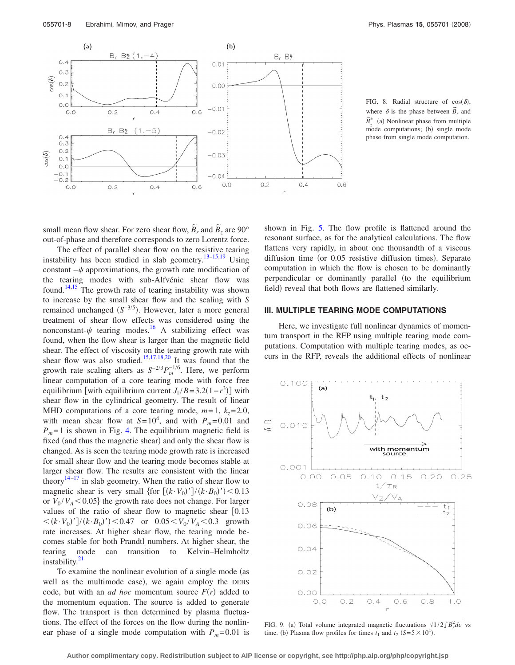<span id="page-7-0"></span>

FIG. 8. Radial structure of  $cos(\delta)$ , where  $\delta$  is the phase between  $\tilde{B}_r$  and  $\widetilde{B}^*_{\cdot}$ . (a) Nonlinear phase from multiple  $z<sub>z</sub>$  (a) comment phase from manapped<br>mode computations; (b) single mode phase from single mode computation.

small mean flow shear. For zero shear flow,  $\widetilde{B}_r$  and  $\widetilde{B}_z$  are 90° out-of-phase and therefore corresponds to zero Lorentz force.

The effect of parallel shear flow on the resistive tearing instability has been studied in slab geometry.<sup>13–[15](#page-10-5)[,19](#page-10-6)</sup> Using constant  $-\psi$  approximations, the growth rate modification of the tearing modes with sub-Alfvénic shear flow was found.<sup>14,[15](#page-10-5)</sup> The growth rate of tearing instability was shown to increase by the small shear flow and the scaling with *S* remained unchanged *S*−3/<sup>5</sup> -. However, later a more general treatment of shear flow effects was considered using the nonconstant- $\psi$  tearing modes.<sup>16</sup> A stabilizing effect was found, when the flow shear is larger than the magnetic field shear. The effect of viscosity on the tearing growth rate with shear flow was also studied.<sup>15,[17,](#page-10-7)[18](#page-10-8)[,20](#page-10-9)</sup> It was found that the growth rate scaling alters as  $S^{-2/3}P_m^{-1/6}$ . Here, we perform linear computation of a core tearing mode with force free equilibrium [with equilibrium current  $J_{\parallel}/B$ =3.2(1-*r*<sup>3</sup>)] with shear flow in the cylindrical geometry. The result of linear MHD computations of a core tearing mode,  $m=1$ ,  $k_z=2.0$ , with mean shear flow at  $S = 10^4$ , and with  $P_m = 0.01$  and  $P_m$ =1 is shown in Fig. [4.](#page-5-1) The equilibrium magnetic field is fixed (and thus the magnetic shear) and only the shear flow is changed. As is seen the tearing mode growth rate is increased for small shear flow and the tearing mode becomes stable at larger shear flow. The results are consistent with the linear theory<sup>14[–17](#page-10-7)</sup> in slab geometry. When the ratio of shear flow to magnetic shear is very small {for  $[(k \cdot V_0)']/(k \cdot B_0)'$  > 0.13 or  $V_0/V_A < 0.05$ } the growth rate does not change. For larger values of the ratio of shear flow to magnetic shear  $[0.13]$  $\langle (k \cdot V_0)' \rangle / (k \cdot B_0)'$  /  $\langle 0.47 \text{ or } 0.05 \langle V_0 / V_A \langle 0.3 \text{ growth} \rangle$ rate increases. At higher shear flow, the tearing mode becomes stable for both Prandtl numbers. At higher shear, the tearing mode can transition to Kelvin–Helmholtz instability. $21$ 

To examine the nonlinear evolution of a single mode (as well as the multimode case), we again employ the DEBS code, but with an *ad hoc* momentum source  $F(r)$  added to the momentum equation. The source is added to generate flow. The transport is then determined by plasma fluctuations. The effect of the forces on the flow during the nonlinear phase of a single mode computation with  $P_m = 0.01$  is shown in Fig. [5.](#page-5-2) The flow profile is flattened around the resonant surface, as for the analytical calculations. The flow flattens very rapidly, in about one thousandth of a viscous diffusion time (or 0.05 resistive diffusion times). Separate computation in which the flow is chosen to be dominantly perpendicular or dominantly parallel (to the equilibrium field) reveal that both flows are flattened similarly.

#### **III. MULTIPLE TEARING MODE COMPUTATIONS**

Here, we investigate full nonlinear dynamics of momentum transport in the RFP using multiple tearing mode computations. Computation with multiple tearing modes, as occurs in the RFP, reveals the additional effects of nonlinear

<span id="page-7-1"></span>

FIG. 9. (a) Total volume integrated magnetic fluctuations  $\sqrt{1/2 \int B_r^2 dv}$  vs time. (b) Plasma flow profiles for times  $t_1$  and  $t_2$  ( $S = 5 \times 10^4$ ).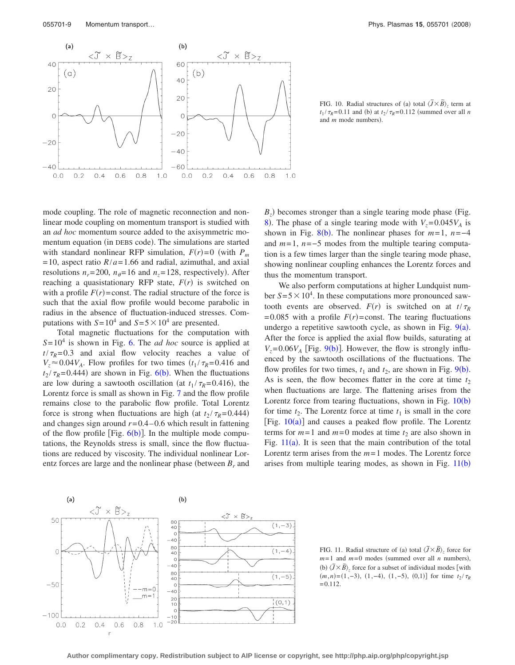<span id="page-8-0"></span>

FIG. 10. Radial structures of (a) total  $\langle \tilde{J} \times \tilde{B} \rangle_z$  term at  $t_1 / \tau_R = 0.11$  and (b) at  $t_2 / \tau_R = 0.112$  (summed over all *n* and *m* mode numbers).

mode coupling. The role of magnetic reconnection and nonlinear mode coupling on momentum transport is studied with an *ad hoc* momentum source added to the axisymmetric momentum equation (in DEBS code). The simulations are started with standard nonlinear RFP simulation,  $F(r)=0$  (with  $P_m$  $= 10$ , aspect ratio  $R/a = 1.66$  and radial, azimuthal, and axial resolutions  $n_r = 200$ ,  $n_\theta = 16$  and  $n_z = 128$ , respectively). After reaching a quasistationary RFP state,  $F(r)$  is switched on with a profile  $F(r)$ =const. The radial structure of the force is such that the axial flow profile would become parabolic in radius in the absence of fluctuation-induced stresses. Computations with  $S = 10^4$  and  $S = 5 \times 10^4$  are presented.

Total magnetic fluctuations for the computation with  $S = 10<sup>4</sup>$  is shown in Fig. [6.](#page-6-0) The *ad hoc* source is applied at  $t/\tau_R = 0.3$  and axial flow velocity reaches a value of  $V_z \approx 0.04 V_A$ . Flow profiles for two times  $(t_1 / \tau_R = 0.416$  and  $t_2 / \tau_R = 0.444$ ) are shown in Fig. [6](#page-6-0)(b). When the fluctuations are low during a sawtooth oscillation (at  $t_1 / \tau_R = 0.416$ ), the Lorentz force is small as shown in Fig. [7](#page-6-1) and the flow profile remains close to the parabolic flow profile. Total Lorentz force is strong when fluctuations are high (at  $t_2 / \tau_R = 0.444$ ) and changes sign around  $r = 0.4 - 0.6$  which result in fattening of the flow profile [Fig.  $6(b)$  $6(b)$ ]. In the multiple mode computations, the Reynolds stress is small, since the flow fluctuations are reduced by viscosity. The individual nonlinear Lorentz forces are large and the nonlinear phase (between  $B_r$  and

 $B_z$ ) becomes stronger than a single tearing mode phase (Fig. [8](#page-7-0)). The phase of a single tearing mode with  $V_z = 0.045V_A$  is shown in Fig.  $8(b)$  $8(b)$ . The nonlinear phases for  $m=1$ ,  $n=-4$ and *m*=1, *n*=−5 modes from the multiple tearing computation is a few times larger than the single tearing mode phase, showing nonlinear coupling enhances the Lorentz forces and thus the momentum transport.

We also perform computations at higher Lundquist number  $S = 5 \times 10^4$ . In these computations more pronounced sawtooth events are observed.  $F(r)$  is switched on at  $t/\tau_R$  $= 0.085$  with a profile  $F(r) =$ const. The tearing fluctuations undergo a repetitive sawtooth cycle, as shown in Fig.  $9(a)$  $9(a)$ . After the force is applied the axial flow builds, saturating at  $V_z = 0.06 V_A$  [Fig. [9](#page-7-1)(b)]. However, the flow is strongly influenced by the sawtooth oscillations of the fluctuations. The flow profiles for two times,  $t_1$  and  $t_2$ , are shown in Fig.  $9(b)$  $9(b)$ . As is seen, the flow becomes flatter in the core at time  $t_2$ when fluctuations are large. The flattening arises from the Lorentz force from tearing fluctuations, shown in Fig.  $10(b)$  $10(b)$ for time  $t_2$ . The Lorentz force at time  $t_1$  is small in the core [Fig.  $10(a)$  $10(a)$ ] and causes a peaked flow profile. The Lorentz terms for  $m=1$  and  $m=0$  modes at time  $t_2$  are also shown in Fig.  $11(a)$  $11(a)$ . It is seen that the main contribution of the total Lorentz term arises from the *m*= 1 modes. The Lorentz force arises from multiple tearing modes, as shown in Fig.  $11(b)$  $11(b)$ 

<span id="page-8-1"></span>

FIG. 11. Radial structure of (a) total  $\langle \tilde{J} \times \tilde{B} \rangle_z$  force for  $m=1$  and  $m=0$  modes (summed over all *n* numbers), (b)  $\langle \tilde{J} \times \tilde{B} \rangle_z$  force for a subset of individual modes [with  $(m,n)=(1,-3), (1,-4), (1,-5), (0,1)$  for time  $t_2/\tau_R$  $= 0.112.$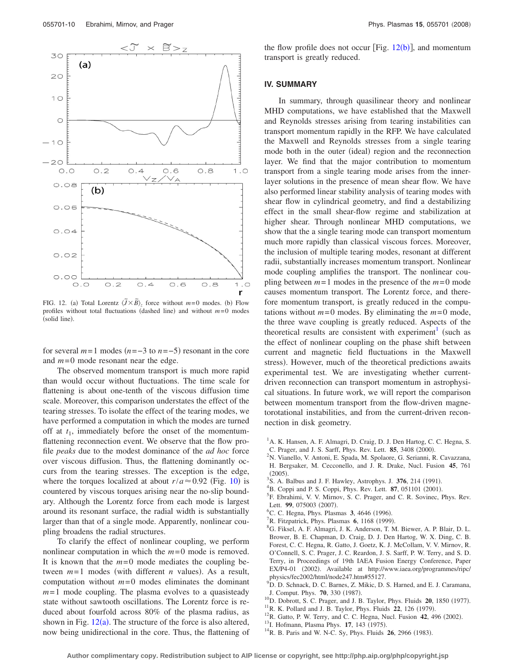<span id="page-9-13"></span>

FIG. 12. (a) Total Lorentz  $\langle \tilde{J} \times \tilde{B} \rangle_z$  force without  $m=0$  modes. (b) Flow profiles without total fluctuations (dashed line) and without  $m=0$  modes (solid line).

for several  $m=1$  modes  $(n=-3$  to  $n=-5$ ) resonant in the core and  $m=0$  mode resonant near the edge.

The observed momentum transport is much more rapid than would occur without fluctuations. The time scale for flattening is about one-tenth of the viscous diffusion time scale. Moreover, this comparison understates the effect of the tearing stresses. To isolate the effect of the tearing modes, we have performed a computation in which the modes are turned off at  $t_1$ , immediately before the onset of the momentumflattening reconnection event. We observe that the flow profile *peaks* due to the modest dominance of the *ad hoc* force over viscous diffusion. Thus, the flattening dominantly occurs from the tearing stresses. The exception is the edge, where the torques localized at about  $r/a \approx 0.92$  (Fig. [10](#page-8-0)) is countered by viscous torques arising near the no-slip boundary. Although the Lorentz force from each mode is largest around its resonant surface, the radial width is substantially larger than that of a single mode. Apparently, nonlinear coupling broadens the radial structures.

To clarify the effect of nonlinear coupling, we perform nonlinear computation in which the *m*= 0 mode is removed. It is known that the  $m=0$  mode mediates the coupling between  $m=1$  modes (with different *n* values). As a result, computation without  $m = 0$  modes eliminates the dominant  $m=1$  mode coupling. The plasma evolves to a quasisteady state without sawtooth oscillations. The Lorentz force is reduced about fourfold across 80% of the plasma radius, as shown in Fig.  $12(a)$  $12(a)$ . The structure of the force is also altered, now being unidirectional in the core. Thus, the flattening of

the flow profile does not occur [Fig.  $12(b)$  $12(b)$ ], and momentum transport is greatly reduced.

## **IV. SUMMARY**

In summary, through quasilinear theory and nonlinear MHD computations, we have established that the Maxwell and Reynolds stresses arising from tearing instabilities can transport momentum rapidly in the RFP. We have calculated the Maxwell and Reynolds stresses from a single tearing mode both in the outer (ideal) region and the reconnection layer. We find that the major contribution to momentum transport from a single tearing mode arises from the innerlayer solutions in the presence of mean shear flow. We have also performed linear stability analysis of tearing modes with shear flow in cylindrical geometry, and find a destabilizing effect in the small shear-flow regime and stabilization at higher shear. Through nonlinear MHD computations, we show that the a single tearing mode can transport momentum much more rapidly than classical viscous forces. Moreover, the inclusion of multiple tearing modes, resonant at different radii, substantially increases momentum transport. Nonlinear mode coupling amplifies the transport. The nonlinear coupling between  $m=1$  modes in the presence of the  $m=0$  mode causes momentum transport. The Lorentz force, and therefore momentum transport, is greatly reduced in the computations without  $m=0$  modes. By eliminating the  $m=0$  mode, the three wave coupling is greatly reduced. Aspects of the theoretical results are consistent with experiment<sup>1</sup> (such as the effect of nonlinear coupling on the phase shift between current and magnetic field fluctuations in the Maxwell stress). However, much of the theoretical predictions awaits experimental test. We are investigating whether currentdriven reconnection can transport momentum in astrophysical situations. In future work, we will report the comparison between momentum transport from the flow-driven magnetorotational instabilities, and from the current-driven reconnection in disk geometry.

- <span id="page-9-0"></span><sup>1</sup>A. K. Hansen, A. F. Almagri, D. Craig, D. J. Den Hartog, C. C. Hegna, S. C. Prager, and J. S. Sarff, Phys. Rev. Lett.  $85$ , 3408 (2000).
- <span id="page-9-1"></span><sup>2</sup>N. Vianello, V. Antoni, E. Spada, M. Spolaore, G. Serianni, R. Cavazzana,
- H. Bergsaker, M. Cecconello, and J. R. Drake, Nucl. Fusion **45**, 761  $^{(2005)}_{38}$
- <span id="page-9-2"></span><sup>3</sup>S. A. Balbus and J. F. Hawley, Astrophys. J. **376**, 214 (1991).
- <span id="page-9-3"></span> ${}^{4}$ B. Coppi and P. S. Coppi, Phys. Rev. Lett. **87**, 051101 (2001).
- <span id="page-9-4"></span><sup>5</sup>F. Ebrahimi, V. V. Mirnov, S. C. Prager, and C. R. Sovinec, Phys. Rev. Lett. **99**, 075003 (2007).
- <span id="page-9-5"></span><sup>6</sup>C. C. Hegna, Phys. Plasmas **3**, 4646 (1996).
- <span id="page-9-6"></span><sup>7</sup>R. Fitzpatrick, Phys. Plasmas **6**, 1168 (1999).<br><sup>8</sup>G. Fiksel A. E. Almagri, L. K. Anderson, T. M.
- <span id="page-9-7"></span>G. Fiksel, A. F. Almagri, J. K. Anderson, T. M. Biewer, A. P. Blair, D. L. Brower, B. E. Chapman, D. Craig, D. J. Den Hartog, W. X. Ding, C. B. Forest, C. C. Hegna, R. Gatto, J. Goetz, K. J. McCollam, V. V. Mirnov, R. O'Connell, S. C. Prager, J. C. Reardon, J. S. Sarff, P. W. Terry, and S. D. Terry, in Proceedings of 19th IAEA Fusion Energy Conference, Paper EX/P4-01 (2002). Available at http://www.iaea.org/programmes/ripc/ physics/fec2002/html/node247.htm#55127.
- <span id="page-9-8"></span><sup>9</sup>D. D. Schnack, D. C. Barnes, Z. Mikic, D. S. Harned, and E. J. Caramana, J. Comput. Phys. **70**, 330 (1987).
- <span id="page-9-9"></span>J. Comput. Phys. **70**, 330 (1987).<br><sup>10</sup>D. Dobrott, S. C. Prager, and J. B. Taylor, Phys. Fluids **20**, 1850 (1977) <sup>10</sup>D. Dobrott, S. C. Prager, and J. B. Taylor, Phys. Fluids **20**, 1850 (1977).<br><sup>11</sup>R. K. Pollard and J. B. Taylor, Phys. Fluids **22**, 126 (1979).
- <sup>11</sup>R. K. Pollard and J. B. Taylor, Phys. Fluids 22, 126 (1979).<br><sup>12</sup>R. Gatto, P. W. Terry, and C. C. Hegna, Nucl. Fusion 42, 496 (2002)
- <span id="page-9-10"></span><sup>12</sup>R. Gatto, P. W. Terry, and C. C. Hegna, Nucl. Fusion **42**, 496 (2002).<br><sup>13</sup>I. Hofmann, Plasma Phys. **17**, 143 (1975).
- 
- <span id="page-9-12"></span><span id="page-9-11"></span><sup>13</sup>I. Hofmann, Plasma Phys. **17**, 143 (1975).<br><sup>14</sup>R. B. Paris and W. N-C. Sy, Phys. Fluids **26**, 2966 (1983).